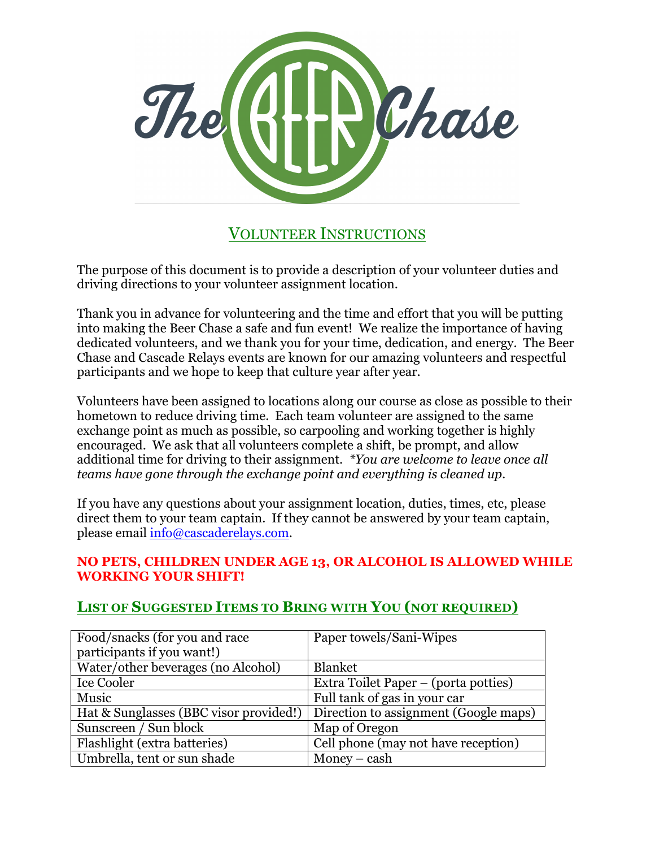

VOLUNTEER INSTRUCTIONS

The purpose of this document is to provide a description of your volunteer duties and driving directions to your volunteer assignment location.

Thank you in advance for volunteering and the time and effort that you will be putting into making the Beer Chase a safe and fun event! We realize the importance of having dedicated volunteers, and we thank you for your time, dedication, and energy. The Beer Chase and Cascade Relays events are known for our amazing volunteers and respectful participants and we hope to keep that culture year after year.

Volunteers have been assigned to locations along our course as close as possible to their hometown to reduce driving time. Each team volunteer are assigned to the same exchange point as much as possible, so carpooling and working together is highly encouraged. We ask that all volunteers complete a shift, be prompt, and allow additional time for driving to their assignment. *\*You are welcome to leave once all teams have gone through the exchange point and everything is cleaned up.*

If you have any questions about your assignment location, duties, times, etc, please direct them to your team captain. If they cannot be answered by your team captain, please email info@cascaderelays.com.

#### **NO PETS, CHILDREN UNDER AGE 13, OR ALCOHOL IS ALLOWED WHILE WORKING YOUR SHIFT!**

# **LIST OF SUGGESTED ITEMS TO BRING WITH YOU (NOT REQUIRED)**

| Food/snacks (for you and race          | Paper towels/Sani-Wipes               |
|----------------------------------------|---------------------------------------|
| participants if you want!)             |                                       |
| Water/other beverages (no Alcohol)     | <b>Blanket</b>                        |
| Ice Cooler                             | Extra Toilet Paper – (porta potties)  |
| Music                                  | Full tank of gas in your car          |
| Hat & Sunglasses (BBC visor provided!) | Direction to assignment (Google maps) |
| Sunscreen / Sun block                  | Map of Oregon                         |
| Flashlight (extra batteries)           | Cell phone (may not have reception)   |
| Umbrella, tent or sun shade            | Money $-$ cash                        |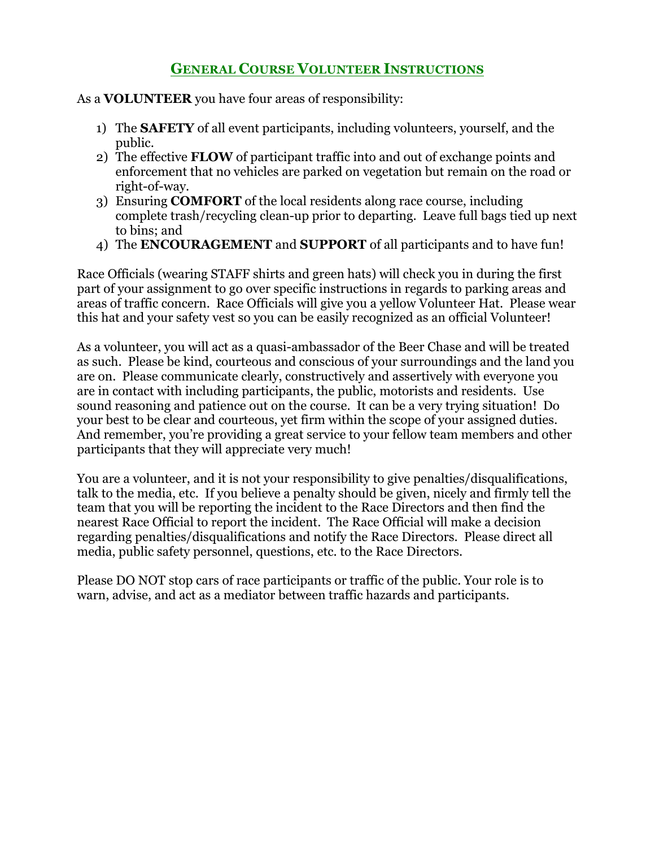# **GENERAL COURSE VOLUNTEER INSTRUCTIONS**

As a **VOLUNTEER** you have four areas of responsibility:

- 1) The **SAFETY** of all event participants, including volunteers, yourself, and the public.
- 2) The effective **FLOW** of participant traffic into and out of exchange points and enforcement that no vehicles are parked on vegetation but remain on the road or right-of-way.
- 3) Ensuring **COMFORT** of the local residents along race course, including complete trash/recycling clean-up prior to departing. Leave full bags tied up next to bins; and
- 4) The **ENCOURAGEMENT** and **SUPPORT** of all participants and to have fun!

Race Officials (wearing STAFF shirts and green hats) will check you in during the first part of your assignment to go over specific instructions in regards to parking areas and areas of traffic concern. Race Officials will give you a yellow Volunteer Hat. Please wear this hat and your safety vest so you can be easily recognized as an official Volunteer!

As a volunteer, you will act as a quasi-ambassador of the Beer Chase and will be treated as such. Please be kind, courteous and conscious of your surroundings and the land you are on. Please communicate clearly, constructively and assertively with everyone you are in contact with including participants, the public, motorists and residents. Use sound reasoning and patience out on the course. It can be a very trying situation! Do your best to be clear and courteous, yet firm within the scope of your assigned duties. And remember, you're providing a great service to your fellow team members and other participants that they will appreciate very much!

You are a volunteer, and it is not your responsibility to give penalties/disqualifications, talk to the media, etc. If you believe a penalty should be given, nicely and firmly tell the team that you will be reporting the incident to the Race Directors and then find the nearest Race Official to report the incident. The Race Official will make a decision regarding penalties/disqualifications and notify the Race Directors. Please direct all media, public safety personnel, questions, etc. to the Race Directors.

Please DO NOT stop cars of race participants or traffic of the public. Your role is to warn, advise, and act as a mediator between traffic hazards and participants.